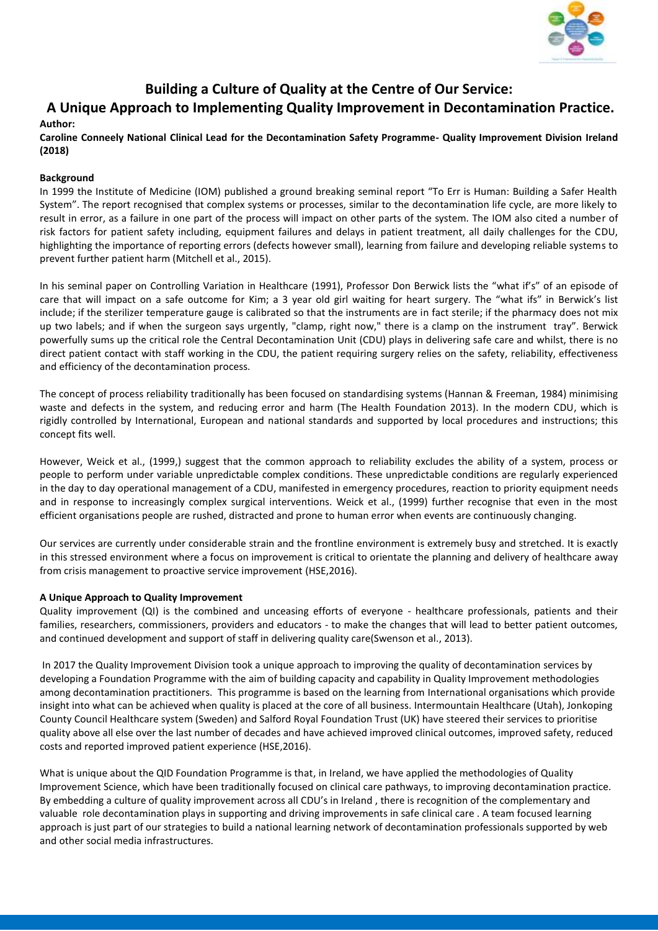

# **Building a Culture of Quality at the Centre of Our Service:**

# **A Unique Approach to Implementing Quality Improvement in Decontamination Practice.**

# **Author:**

**Caroline Conneely National Clinical Lead for the Decontamination Safety Programme- Quality Improvement Division Ireland (2018)**

# **Background**

In 1999 the Institute of Medicine (IOM) published a ground breaking seminal report "To Err is Human: Building a Safer Health System". The report recognised that complex systems or processes, similar to the decontamination life cycle, are more likely to result in error, as a failure in one part of the process will impact on other parts of the system. The IOM also cited a number of risk factors for patient safety including, equipment failures and delays in patient treatment, all daily challenges for the CDU, highlighting the importance of reporting errors (defects however small), learning from failure and developing reliable systems to prevent further patient harm (Mitchell et al., 2015).

In his seminal paper on Controlling Variation in Healthcare (1991), Professor Don Berwick lists the "what if's" of an episode of care that will impact on a safe outcome for Kim; a 3 year old girl waiting for heart surgery. The "what ifs" in Berwick's list include; if the sterilizer temperature gauge is calibrated so that the instruments are in fact sterile; if the pharmacy does not mix up two labels; and if when the surgeon says urgently, "clamp, right now," there is a clamp on the instrument tray". Berwick powerfully sums up the critical role the Central Decontamination Unit (CDU) plays in delivering safe care and whilst, there is no direct patient contact with staff working in the CDU, the patient requiring surgery relies on the safety, reliability, effectiveness and efficiency of the decontamination process.

The concept of process reliability traditionally has been focused on standardising systems (Hannan & Freeman, 1984) minimising waste and defects in the system, and reducing error and harm (The Health Foundation 2013). In the modern CDU, which is rigidly controlled by International, European and national standards and supported by local procedures and instructions; this concept fits well.

However, Weick et al., (1999,) suggest that the common approach to reliability excludes the ability of a system, process or people to perform under variable unpredictable complex conditions. These unpredictable conditions are regularly experienced in the day to day operational management of a CDU, manifested in emergency procedures, reaction to priority equipment needs and in response to increasingly complex surgical interventions. Weick et al., (1999) further recognise that even in the most efficient organisations people are rushed, distracted and prone to human error when events are continuously changing.

Our services are currently under considerable strain and the frontline environment is extremely busy and stretched. It is exactly in this stressed environment where a focus on improvement is critical to orientate the planning and delivery of healthcare away from crisis management to proactive service improvement (HSE,2016).

# **A Unique Approach to Quality Improvement**

Quality improvement (QI) is the combined and unceasing efforts of everyone - healthcare professionals, patients and their families, researchers, commissioners, providers and educators - to make the changes that will lead to better patient outcomes, and continued development and support of staff in delivering quality care(Swenson et al., 2013).

In 2017 the Quality Improvement Division took a unique approach to improving the quality of decontamination services by developing a Foundation Programme with the aim of building capacity and capability in Quality Improvement methodologies among decontamination practitioners. This programme is based on the learning from International organisations which provide insight into what can be achieved when quality is placed at the core of all business. Intermountain Healthcare (Utah), Jonkoping County Council Healthcare system (Sweden) and Salford Royal Foundation Trust (UK) have steered their services to prioritise quality above all else over the last number of decades and have achieved improved clinical outcomes, improved safety, reduced costs and reported improved patient experience (HSE,2016).

What is unique about the QID Foundation Programme is that, in Ireland, we have applied the methodologies of Quality Improvement Science, which have been traditionally focused on clinical care pathways, to improving decontamination practice. By embedding a culture of quality improvement across all CDU's in Ireland , there is recognition of the complementary and valuable role decontamination plays in supporting and driving improvements in safe clinical care . A team focused learning approach is just part of our strategies to build a national learning network of decontamination professionals supported by web and other social media infrastructures.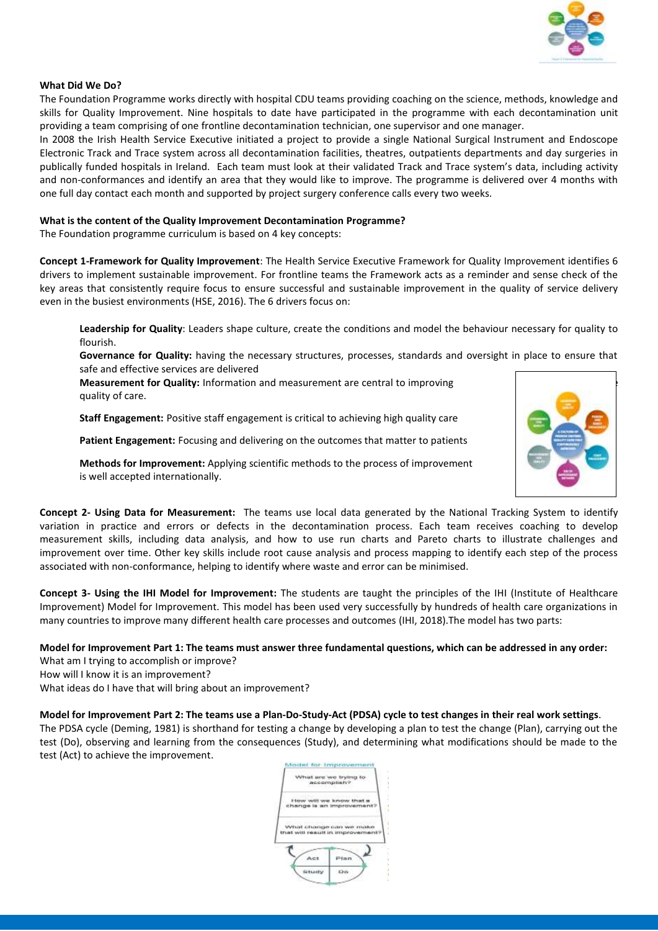

#### **What Did We Do?**

The Foundation Programme works directly with hospital CDU teams providing coaching on the science, methods, knowledge and skills for Quality Improvement. Nine hospitals to date have participated in the programme with each decontamination unit providing a team comprising of one frontline decontamination technician, one supervisor and one manager.

In 2008 the Irish Health Service Executive initiated a project to provide a single National Surgical Instrument and Endoscope Electronic Track and Trace system across all decontamination facilities, theatres, outpatients departments and day surgeries in publically funded hospitals in Ireland. Each team must look at their validated Track and Trace system's data, including activity and non-conformances and identify an area that they would like to improve. The programme is delivered over 4 months with one full day contact each month and supported by project surgery conference calls every two weeks.

#### **What is the content of the Quality Improvement Decontamination Programme?**

The Foundation programme curriculum is based on 4 key concepts:

**Concept 1-Framework for Quality Improvement**: The Health Service Executive Framework for Quality Improvement identifies 6 drivers to implement sustainable improvement. For frontline teams the Framework acts as a reminder and sense check of the key areas that consistently require focus to ensure successful and sustainable improvement in the quality of service delivery even in the busiest environments (HSE, 2016). The 6 drivers focus on:

**Leadership for Quality**: Leaders shape culture, create the conditions and model the behaviour necessary for quality to flourish.

**Governance for Quality:** having the necessary structures, processes, standards and oversight in place to ensure that safe and effective services are delivered

**Measurement for Quality:** Information and measurement are central to improving quality of care.

**Staff Engagement:** Positive staff engagement is critical to achieving high quality care

**Patient Engagement:** Focusing and delivering on the outcomes that matter to patients



**Methods for Improvement:** Applying scientific methods to the process of improvement is well accepted internationally.

**Concept 2- Using Data for Measurement:** The teams use local data generated by the National Tracking System to identify variation in practice and errors or defects in the decontamination process. Each team receives coaching to develop measurement skills, including data analysis, and how to use run charts and Pareto charts to illustrate challenges and improvement over time. Other key skills include root cause analysis and process mapping to identify each step of the process associated with non-conformance, helping to identify where waste and error can be minimised.

**Concept 3- Using the IHI Model for Improvement:** The students are taught the principles of the IHI (Institute of Healthcare Improvement) Model for Improvement. This model has been used very successfully by hundreds of health care organizations in many countries to improve many different health care processes and outcomes (IHI, 2018).The model has two parts:

**Model for Improvement Part 1: The teams must answer three fundamental questions, which can be addressed in any order:** What am I trying to accomplish or improve?

How will I know it is an improvement?

What ideas do I have that will bring about an improvement?

**Model for Improvement Part 2: The teams use a Plan-Do-Study-Act (PDSA) cycle to test changes in their real work settings**.

The PDSA cycle (Deming, 1981) is shorthand for testing a change by developing a plan to test the change (Plan), carrying out the test (Do), observing and learning from the consequences (Study), and determining what modifications should be made to the test (Act) to achieve the improvement.

|                                           | What are we trying to<br>accomplian?                 |
|-------------------------------------------|------------------------------------------------------|
|                                           | How will we know that a<br>change is an improvement? |
|                                           |                                                      |
|                                           | 3 정치 오면 그 번 수 있는 사람은 이렇다는 것이나 지지 않을 수 있습니다.          |
| What change can we make                   |                                                      |
| that will result in improvement?<br>kicit |                                                      |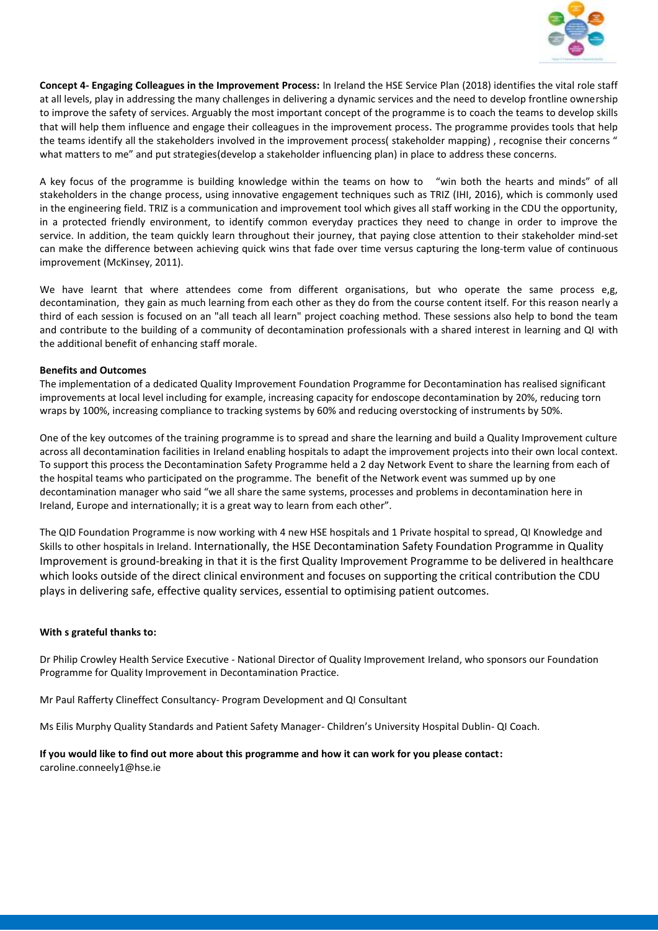

**Concept 4- Engaging Colleagues in the Improvement Process:** In Ireland the HSE Service Plan (2018) identifies the vital role staff at all levels, play in addressing the many challenges in delivering a dynamic services and the need to develop frontline ownership to improve the safety of services. Arguably the most important concept of the programme is to coach the teams to develop skills that will help them influence and engage their colleagues in the improvement process. The programme provides tools that help the teams identify all the stakeholders involved in the improvement process( stakeholder mapping) , recognise their concerns " what matters to me" and put strategies(develop a stakeholder influencing plan) in place to address these concerns.

A key focus of the programme is building knowledge within the teams on how to "win both the hearts and minds" of all stakeholders in the change process, using innovative engagement techniques such as TRIZ (IHI, 2016), which is commonly used in the engineering field. TRIZ is a communication and improvement tool which gives all staff working in the CDU the opportunity, in a protected friendly environment, to identify common everyday practices they need to change in order to improve the service. In addition, the team quickly learn throughout their journey, that paying close attention to their stakeholder mind-set can make the difference between achieving quick wins that fade over time versus capturing the long-term value of continuous improvement (McKinsey, 2011).

We have learnt that where attendees come from different organisations, but who operate the same process e,g, decontamination, they gain as much learning from each other as they do from the course content itself. For this reason nearly a third of each session is focused on an "all teach all learn" project coaching method. These sessions also help to bond the team and contribute to the building of a community of decontamination professionals with a shared interest in learning and QI with the additional benefit of enhancing staff morale.

# **Benefits and Outcomes**

The implementation of a dedicated Quality Improvement Foundation Programme for Decontamination has realised significant improvements at local level including for example, increasing capacity for endoscope decontamination by 20%, reducing torn wraps by 100%, increasing compliance to tracking systems by 60% and reducing overstocking of instruments by 50%.

One of the key outcomes of the training programme is to spread and share the learning and build a Quality Improvement culture across all decontamination facilities in Ireland enabling hospitals to adapt the improvement projects into their own local context. To support this process the Decontamination Safety Programme held a 2 day Network Event to share the learning from each of the hospital teams who participated on the programme. The benefit of the Network event was summed up by one decontamination manager who said "we all share the same systems, processes and problems in decontamination here in Ireland, Europe and internationally; it is a great way to learn from each other".

The QID Foundation Programme is now working with 4 new HSE hospitals and 1 Private hospital to spread, QI Knowledge and Skills to other hospitals in Ireland. Internationally, the HSE Decontamination Safety Foundation Programme in Quality Improvement is ground-breaking in that it is the first Quality Improvement Programme to be delivered in healthcare which looks outside of the direct clinical environment and focuses on supporting the critical contribution the CDU plays in delivering safe, effective quality services, essential to optimising patient outcomes.

# **With s grateful thanks to:**

Dr Philip Crowley Health Service Executive - National Director of Quality Improvement Ireland, who sponsors our Foundation Programme for Quality Improvement in Decontamination Practice.

Mr Paul Rafferty Clineffect Consultancy- Program Development and QI Consultant

Ms Eilis Murphy Quality Standards and Patient Safety Manager- Children's University Hospital Dublin- QI Coach.

#### **If you would like to find out more about this programme and how it can work for you please contact:** caroline.conneely1@hse.ie